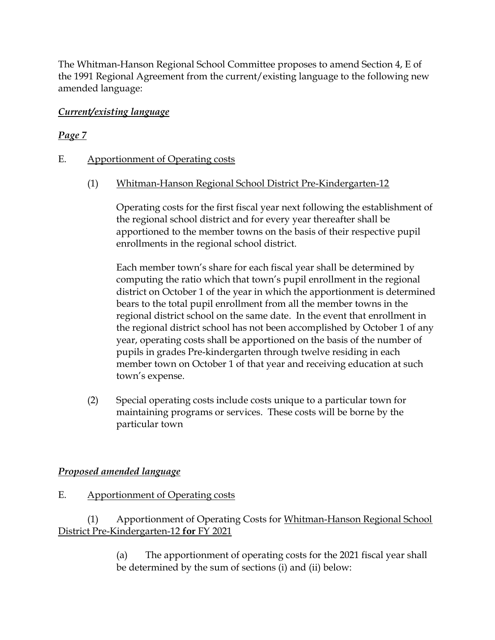The Whitman-Hanson Regional School Committee proposes to amend Section 4, E of the 1991 Regional Agreement from the current/existing language to the following new amended language:

#### Current/existing language

# Page 7

## E. Apportionment of Operating costs

## (1) Whitman-Hanson Regional School District Pre-Kindergarten-12

Operating costs for the first fiscal year next following the establishment of the regional school district and for every year thereafter shall be apportioned to the member towns on the basis of their respective pupil enrollments in the regional school district.

Each member town's share for each fiscal year shall be determined by computing the ratio which that town's pupil enrollment in the regional district on October 1 of the year in which the apportionment is determined bears to the total pupil enrollment from all the member towns in the regional district school on the same date. In the event that enrollment in the regional district school has not been accomplished by October 1 of any year, operating costs shall be apportioned on the basis of the number of pupils in grades Pre-kindergarten through twelve residing in each member town on October 1 of that year and receiving education at such town's expense.

(2) Special operating costs include costs unique to a particular town for maintaining programs or services. These costs will be borne by the particular town

# Proposed amended language

#### E. Apportionment of Operating costs

## (1) Apportionment of Operating Costs for Whitman-Hanson Regional School District Pre-Kindergarten-12 for FY 2021

(a) The apportionment of operating costs for the 2021 fiscal year shall be determined by the sum of sections (i) and (ii) below: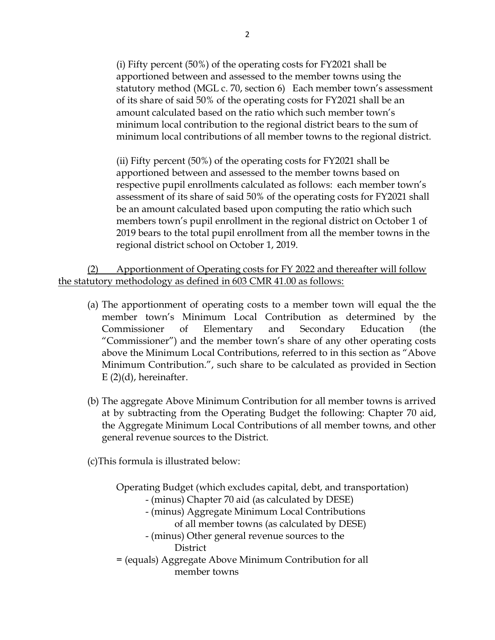(i) Fifty percent (50%) of the operating costs for FY2021 shall be apportioned between and assessed to the member towns using the statutory method (MGL c. 70, section 6) Each member town's assessment of its share of said 50% of the operating costs for FY2021 shall be an amount calculated based on the ratio which such member town's minimum local contribution to the regional district bears to the sum of minimum local contributions of all member towns to the regional district.

(ii) Fifty percent (50%) of the operating costs for FY2021 shall be apportioned between and assessed to the member towns based on respective pupil enrollments calculated as follows: each member town's assessment of its share of said 50% of the operating costs for FY2021 shall be an amount calculated based upon computing the ratio which such members town's pupil enrollment in the regional district on October 1 of 2019 bears to the total pupil enrollment from all the member towns in the regional district school on October 1, 2019.

(2) Apportionment of Operating costs for FY 2022 and thereafter will follow the statutory methodology as defined in 603 CMR 41.00 as follows:

- (a) The apportionment of operating costs to a member town will equal the the member town's Minimum Local Contribution as determined by the Commissioner of Elementary and Secondary Education (the "Commissioner") and the member town's share of any other operating costs above the Minimum Local Contributions, referred to in this section as "Above Minimum Contribution.", such share to be calculated as provided in Section  $E(2)(d)$ , hereinafter.
- (b) The aggregate Above Minimum Contribution for all member towns is arrived at by subtracting from the Operating Budget the following: Chapter 70 aid, the Aggregate Minimum Local Contributions of all member towns, and other general revenue sources to the District.

(c)This formula is illustrated below:

member towns

Operating Budget (which excludes capital, debt, and transportation) - (minus) Chapter 70 aid (as calculated by DESE) - (minus) Aggregate Minimum Local Contributions of all member towns (as calculated by DESE) - (minus) Other general revenue sources to the **District** = (equals) Aggregate Above Minimum Contribution for all